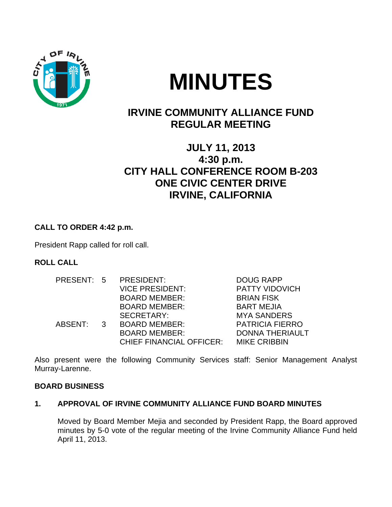

# **MINUTES**

# **IRVINE COMMUNITY ALLIANCE FUND REGULAR MEETING**

# **JULY 11, 2013 4:30 p.m. CITY HALL CONFERENCE ROOM B-203 ONE CIVIC CENTER DRIVE IRVINE, CALIFORNIA**

### **CALL TO ORDER 4:42 p.m.**

President Rapp called for roll call.

#### **ROLL CALL**

| PRESENT: 5 |  | PRESIDENT:                      | <b>DOUG RAPP</b>       |
|------------|--|---------------------------------|------------------------|
|            |  | <b>VICE PRESIDENT:</b>          | <b>PATTY VIDOVICH</b>  |
|            |  | <b>BOARD MEMBER:</b>            | <b>BRIAN FISK</b>      |
|            |  | <b>BOARD MEMBER:</b>            | <b>BART MEJIA</b>      |
|            |  | SECRETARY:                      | <b>MYA SANDERS</b>     |
| ABSENT: 3  |  | <b>BOARD MEMBER:</b>            | <b>PATRICIA FIERRO</b> |
|            |  | <b>BOARD MEMBER:</b>            | <b>DONNA THERIAULT</b> |
|            |  | <b>CHIEF FINANCIAL OFFICER:</b> | <b>MIKE CRIBBIN</b>    |

Also present were the following Community Services staff: Senior Management Analyst Murray-Larenne.

#### **BOARD BUSINESS**

#### **1. APPROVAL OF IRVINE COMMUNITY ALLIANCE FUND BOARD MINUTES**

Moved by Board Member Mejia and seconded by President Rapp, the Board approved minutes by 5-0 vote of the regular meeting of the Irvine Community Alliance Fund held April 11, 2013.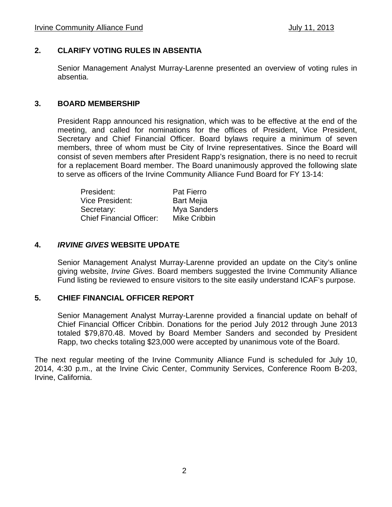#### **2. CLARIFY VOTING RULES IN ABSENTIA**

Senior Management Analyst Murray-Larenne presented an overview of voting rules in absentia.

#### **3. BOARD MEMBERSHIP**

President Rapp announced his resignation, which was to be effective at the end of the meeting, and called for nominations for the offices of President, Vice President, Secretary and Chief Financial Officer. Board bylaws require a minimum of seven members, three of whom must be City of Irvine representatives. Since the Board will consist of seven members after President Rapp's resignation, there is no need to recruit for a replacement Board member. The Board unanimously approved the following slate to serve as officers of the Irvine Community Alliance Fund Board for FY 13-14:

| President:                      | <b>Pat Fierro</b> |
|---------------------------------|-------------------|
| Vice President:                 | <b>Bart Mejia</b> |
| Secretary:                      | Mya Sanders       |
| <b>Chief Financial Officer:</b> | Mike Cribbin      |

#### **4.** *IRVINE GIVES* **WEBSITE UPDATE**

 Senior Management Analyst Murray-Larenne provided an update on the City's online giving website, *Irvine Gives*. Board members suggested the Irvine Community Alliance Fund listing be reviewed to ensure visitors to the site easily understand ICAF's purpose.

#### **5. CHIEF FINANCIAL OFFICER REPORT**

Senior Management Analyst Murray-Larenne provided a financial update on behalf of Chief Financial Officer Cribbin. Donations for the period July 2012 through June 2013 totaled \$79,870.48. Moved by Board Member Sanders and seconded by President Rapp, two checks totaling \$23,000 were accepted by unanimous vote of the Board.

The next regular meeting of the Irvine Community Alliance Fund is scheduled for July 10, 2014, 4:30 p.m., at the Irvine Civic Center, Community Services, Conference Room B-203, Irvine, California.